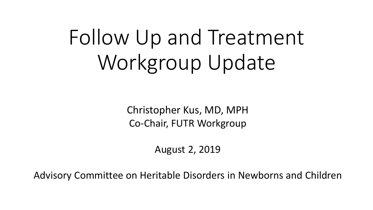# Follow Up and Treatment Workgroup Update

Christopher Kus, MD, MPH Co-Chair, FUTR Workgroup

August 2, 2019

Advisory Committee on Heritable Disorders in Newborns and Children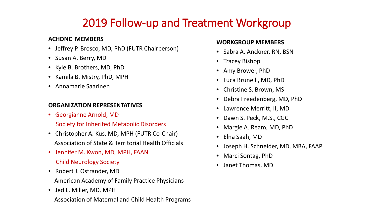### 2019 Follow-up and Treatment Workgroup

#### **ACHDNC MEMBERS**

- Jeffrey P. Brosco, MD, PhD (FUTR Chairperson)
- Susan A. Berry, MD
- Kyle B. Brothers, MD, PhD
- Kamila B. Mistry, PhD, MPH
- Annamarie Saarinen

#### **ORGANIZATION REPRESENTATIVES**

- Georgianne Arnold, MD
	- Society for Inherited Metabolic Disorders
- Christopher A. Kus, MD, MPH (FUTR Co-Chair) Association of State & Territorial Health Officials
- Jennifer M. Kwon, MD, MPH, FAAN Child Neurology Society
- Robert J. Ostrander, MD American Academy of Family Practice Physicians
- Jed L. Miller, MD, MPH Association of Maternal and Child Health Programs

#### **WORKGROUP MEMBERS**

- Sabra A. Anckner, RN, BSN
- Tracey Bishop
- Amy Brower, PhD
- Luca Brunelli, MD, PhD
- Christine S. Brown, MS
- Debra Freedenberg, MD, PhD
- Lawrence Merritt, II, MD
- Dawn S. Peck, M.S., CGC
- Margie A. Ream, MD, PhD
- Elna Saah, MD
- Joseph H. Schneider, MD, MBA, FAAP
- Marci Sontag, PhD
- Janet Thomas, MD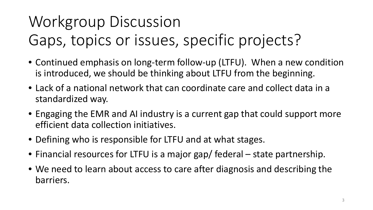## Workgroup Discussion Gaps, topics or issues, specific projects?

- Continued emphasis on long-term follow-up (LTFU). When a new condition is introduced, we should be thinking about LTFU from the beginning.
- Lack of a national network that can coordinate care and collect data in a standardized way.
- Engaging the EMR and AI industry is a current gap that could support more efficient data collection initiatives.
- Defining who is responsible for LTFU and at what stages.
- Financial resources for LTFU is a major gap/ federal state partnership.
- We need to learn about access to care after diagnosis and describing the barriers.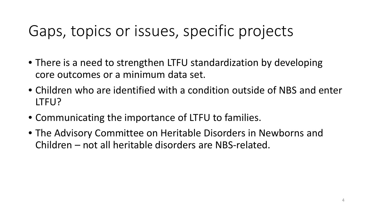### Gaps, topics or issues, specific projects

- There is a need to strengthen LTFU standardization by developing core outcomes or a minimum data set.
- Children who are identified with a condition outside of NBS and enter LTFU?
- Communicating the importance of LTFU to families.
- The Advisory Committee on Heritable Disorders in Newborns and Children – not all heritable disorders are NBS-related.